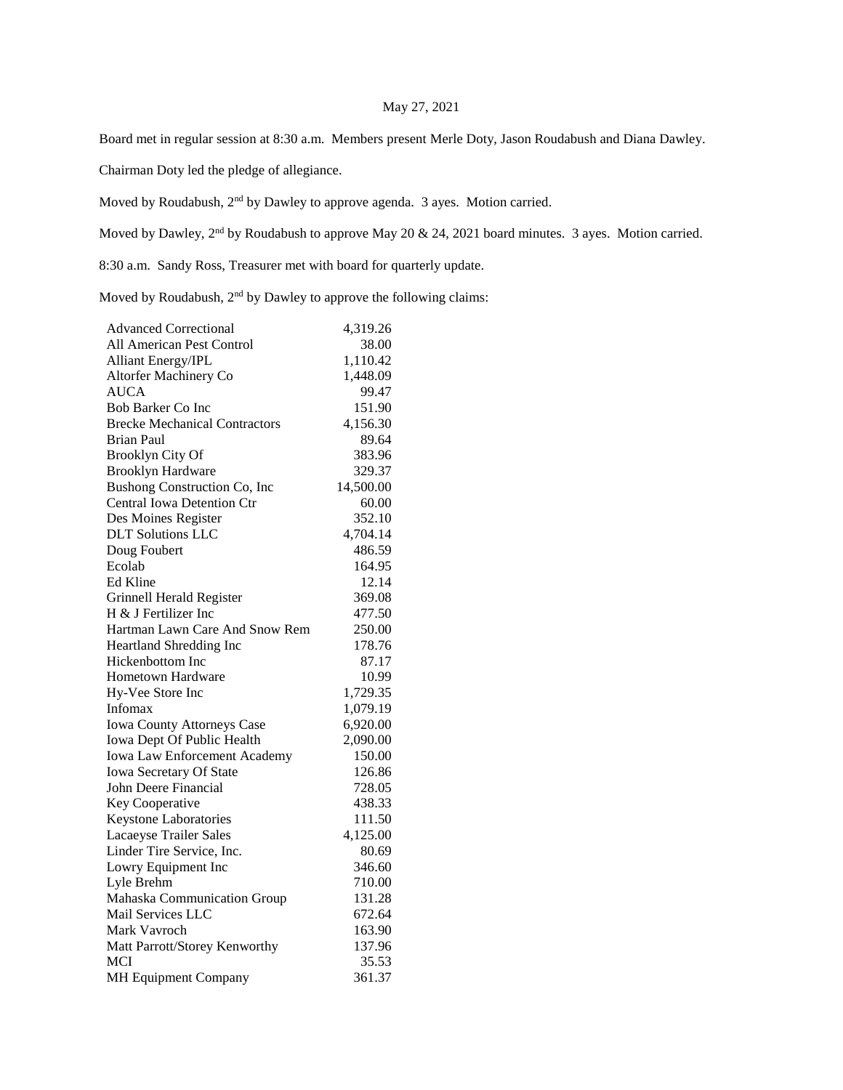## May 27, 2021

Board met in regular session at 8:30 a.m. Members present Merle Doty, Jason Roudabush and Diana Dawley.

Chairman Doty led the pledge of allegiance.

Moved by Roudabush, 2nd by Dawley to approve agenda. 3 ayes. Motion carried.

Moved by Dawley, 2<sup>nd</sup> by Roudabush to approve May 20 & 24, 2021 board minutes. 3 ayes. Motion carried.

8:30 a.m. Sandy Ross, Treasurer met with board for quarterly update.

Moved by Roudabush,  $2<sup>nd</sup>$  by Dawley to approve the following claims:

| <b>Advanced Correctional</b>         | 4,319.26  |
|--------------------------------------|-----------|
| All American Pest Control            | 38.00     |
| Alliant Energy/IPL                   | 1,110.42  |
| Altorfer Machinery Co                | 1,448.09  |
| <b>AUCA</b>                          | 99.47     |
| <b>Bob Barker Co Inc</b>             | 151.90    |
| <b>Brecke Mechanical Contractors</b> | 4,156.30  |
| <b>Brian Paul</b>                    | 89.64     |
| Brooklyn City Of                     | 383.96    |
| <b>Brooklyn Hardware</b>             | 329.37    |
| Bushong Construction Co, Inc.        | 14,500.00 |
| <b>Central Iowa Detention Ctr</b>    | 60.00     |
| Des Moines Register                  | 352.10    |
| <b>DLT</b> Solutions LLC             | 4,704.14  |
| Doug Foubert                         | 486.59    |
| Ecolab                               | 164.95    |
| Ed Kline                             | 12.14     |
| Grinnell Herald Register             | 369.08    |
| H & J Fertilizer Inc                 | 477.50    |
| Hartman Lawn Care And Snow Rem       | 250.00    |
| Heartland Shredding Inc              | 178.76    |
| Hickenbottom Inc                     | 87.17     |
| Hometown Hardware                    | 10.99     |
| Hy-Vee Store Inc                     | 1,729.35  |
| Infomax                              | 1,079.19  |
| Iowa County Attorneys Case           | 6,920.00  |
| Iowa Dept Of Public Health           | 2,090.00  |
| Iowa Law Enforcement Academy         | 150.00    |
| Iowa Secretary Of State              | 126.86    |
| John Deere Financial                 | 728.05    |
| Key Cooperative                      | 438.33    |
| Keystone Laboratories                | 111.50    |
| Lacaeyse Trailer Sales               | 4,125.00  |
| Linder Tire Service, Inc.            | 80.69     |
| Lowry Equipment Inc                  | 346.60    |
| Lyle Brehm                           | 710.00    |
| Mahaska Communication Group          | 131.28    |
| Mail Services LLC                    | 672.64    |
| Mark Vavroch                         | 163.90    |
| Matt Parrott/Storey Kenworthy        | 137.96    |
| <b>MCI</b>                           | 35.53     |
| MH Equipment Company                 | 361.37    |